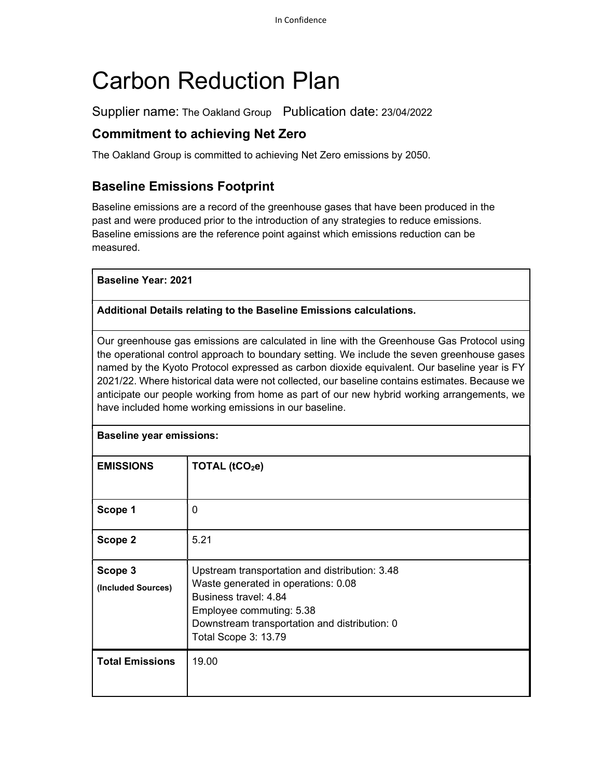# Carbon Reduction Plan

Supplier name: The Oakland Group Publication date: 23/04/2022

## Commitment to achieving Net Zero

The Oakland Group is committed to achieving Net Zero emissions by 2050.

## Baseline Emissions Footprint

Baseline emissions are a record of the greenhouse gases that have been produced in the past and were produced prior to the introduction of any strategies to reduce emissions. Baseline emissions are the reference point against which emissions reduction can be measured.

Baseline Year: 2021

#### Additional Details relating to the Baseline Emissions calculations.

Our greenhouse gas emissions are calculated in line with the Greenhouse Gas Protocol using the operational control approach to boundary setting. We include the seven greenhouse gases named by the Kyoto Protocol expressed as carbon dioxide equivalent. Our baseline year is FY 2021/22. Where historical data were not collected, our baseline contains estimates. Because we anticipate our people working from home as part of our new hybrid working arrangements, we have included home working emissions in our baseline.

| <b>Baseline year emissions:</b> |                                                                                                                                                                                                                     |
|---------------------------------|---------------------------------------------------------------------------------------------------------------------------------------------------------------------------------------------------------------------|
| <b>EMISSIONS</b>                | TOTAL (tCO <sub>2</sub> e)                                                                                                                                                                                          |
| Scope 1                         | 0                                                                                                                                                                                                                   |
| Scope 2                         | 5.21                                                                                                                                                                                                                |
| Scope 3<br>(Included Sources)   | Upstream transportation and distribution: 3.48<br>Waste generated in operations: 0.08<br>Business travel: 4.84<br>Employee commuting: 5.38<br>Downstream transportation and distribution: 0<br>Total Scope 3: 13.79 |
| <b>Total Emissions</b>          | 19.00                                                                                                                                                                                                               |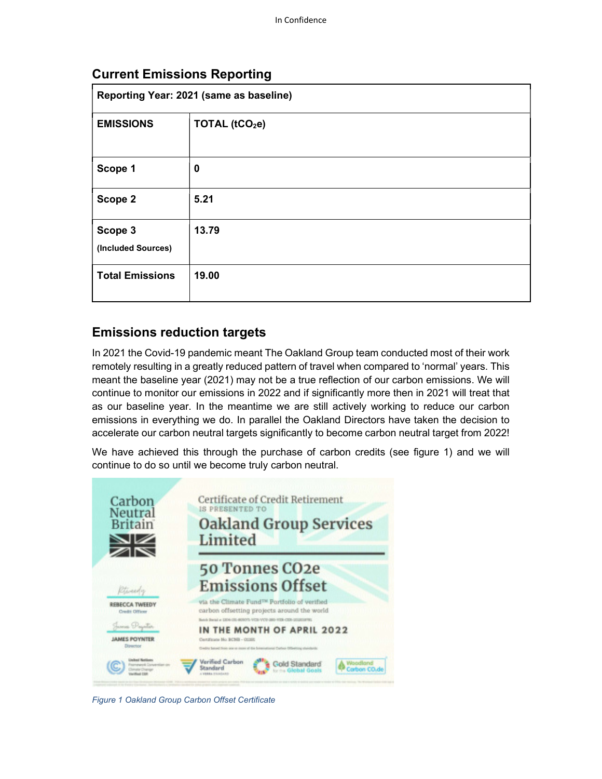| Reporting Year: 2021 (same as baseline) |                            |  |
|-----------------------------------------|----------------------------|--|
| <b>EMISSIONS</b>                        | TOTAL (tCO <sub>2</sub> e) |  |
| Scope 1                                 | 0                          |  |
| Scope 2                                 | 5.21                       |  |
| Scope 3<br>(Included Sources)           | 13.79                      |  |
| <b>Total Emissions</b>                  | 19.00                      |  |

## Current Emissions Reporting

#### Emissions reduction targets

In 2021 the Covid-19 pandemic meant The Oakland Group team conducted most of their work remotely resulting in a greatly reduced pattern of travel when compared to 'normal' years. This meant the baseline year (2021) may not be a true reflection of our carbon emissions. We will continue to monitor our emissions in 2022 and if significantly more then in 2021 will treat that as our baseline year. In the meantime we are still actively working to reduce our carbon emissions in everything we do. In parallel the Oakland Directors have taken the decision to accelerate our carbon neutral targets significantly to become carbon neutral target from 2022!

We have achieved this through the purchase of carbon credits (see figure 1) and we will continue to do so until we become truly carbon neutral.



Figure 1 Oakland Group Carbon Offset Certificate